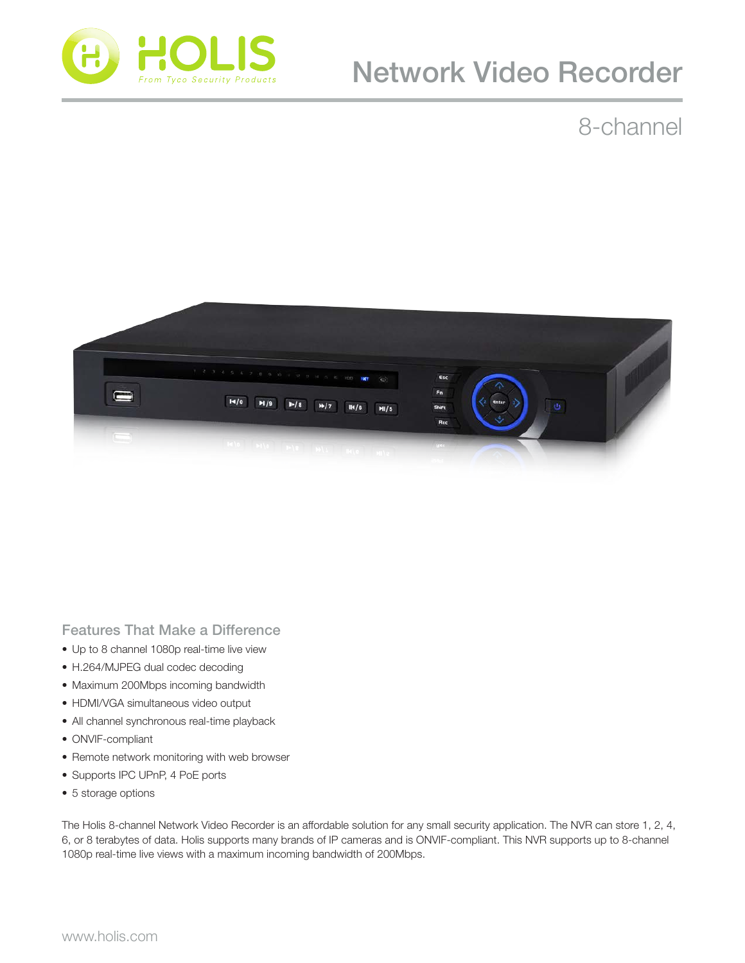

# Network Video Recorder

### 8-channel



Features That Make a Difference

- Up to 8 channel 1080p real-time live view
- H.264/MJPEG dual codec decoding
- Maximum 200Mbps incoming bandwidth
- HDMI/VGA simultaneous video output
- All channel synchronous real-time playback
- ONVIF-compliant
- Remote network monitoring with web browser
- Supports IPC UPnP, 4 PoE ports
- 5 storage options

The Holis 8-channel Network Video Recorder is an affordable solution for any small security application. The NVR can store 1, 2, 4, 6, or 8 terabytes of data. Holis supports many brands of IP cameras and is ONVIF-compliant. This NVR supports up to 8-channel 1080p real-time live views with a maximum incoming bandwidth of 200Mbps.